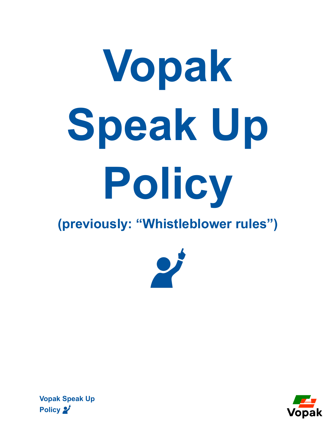# **Vopak Speak Up Policy**

# **(previously: "Whistleblower rules")**



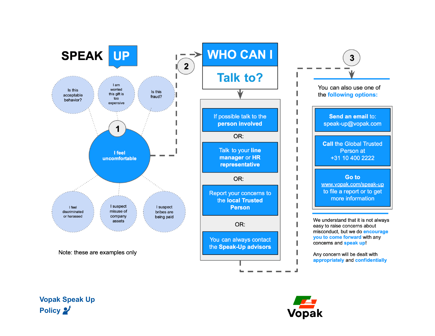



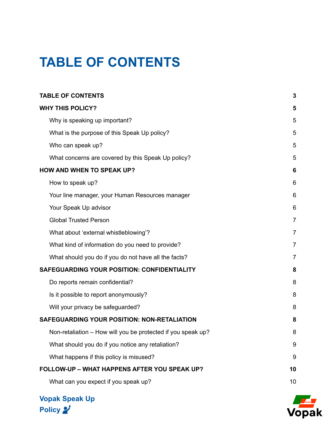# <span id="page-2-0"></span>**TABLE OF CONTENTS**

| <b>TABLE OF CONTENTS</b>                                     | 3              |
|--------------------------------------------------------------|----------------|
| <b>WHY THIS POLICY?</b>                                      | 5              |
| Why is speaking up important?                                | 5              |
| What is the purpose of this Speak Up policy?                 | 5              |
| Who can speak up?                                            | 5              |
| What concerns are covered by this Speak Up policy?           | 5              |
| <b>HOW AND WHEN TO SPEAK UP?</b>                             | 6              |
| How to speak up?                                             | 6              |
| Your line manager, your Human Resources manager              | 6              |
| Your Speak Up advisor                                        | 6              |
| <b>Global Trusted Person</b>                                 | $\overline{7}$ |
| What about 'external whistleblowing'?                        | $\overline{7}$ |
| What kind of information do you need to provide?             | $\overline{7}$ |
| What should you do if you do not have all the facts?         | $\overline{7}$ |
| SAFEGUARDING YOUR POSITION: CONFIDENTIALITY                  | 8              |
| Do reports remain confidential?                              | 8              |
| Is it possible to report anonymously?                        | 8              |
| Will your privacy be safeguarded?                            | 8              |
| <b>SAFEGUARDING YOUR POSITION: NON-RETALIATION</b>           | 8              |
| Non-retaliation - How will you be protected if you speak up? | 8              |
| What should you do if you notice any retaliation?            | 9              |
| What happens if this policy is misused?                      | 9              |
| <b>FOLLOW-UP - WHAT HAPPENS AFTER YOU SPEAK UP?</b>          | 10             |
| What can you expect if you speak up?                         | 10             |

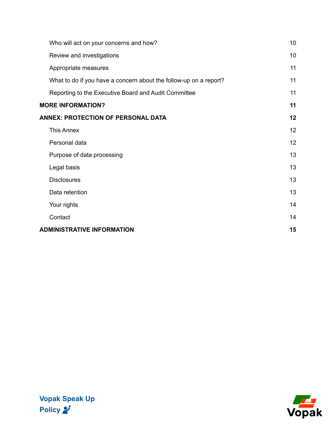| Who will act on your concerns and how?                            | 10 |
|-------------------------------------------------------------------|----|
| Review and investigations                                         | 10 |
| Appropriate measures                                              | 11 |
| What to do if you have a concern about the follow-up on a report? | 11 |
| Reporting to the Executive Board and Audit Committee              | 11 |
| <b>MORE INFORMATION?</b>                                          | 11 |
| <b>ANNEX: PROTECTION OF PERSONAL DATA</b>                         | 12 |
| <b>This Annex</b>                                                 | 12 |
| Personal data                                                     | 12 |
| Purpose of data processing                                        | 13 |
| Legal basis                                                       | 13 |
| <b>Disclosures</b>                                                | 13 |
| Data retention                                                    | 13 |
| Your rights                                                       | 14 |
| Contact                                                           | 14 |
| <b>ADMINISTRATIVE INFORMATION</b>                                 | 15 |

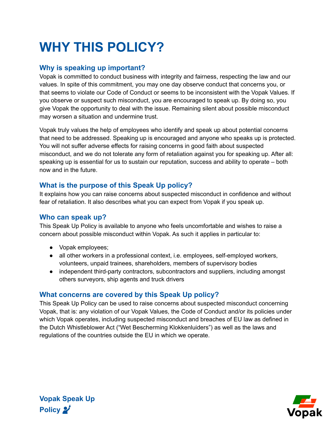# <span id="page-4-0"></span>**WHY THIS POLICY?**

## <span id="page-4-1"></span>**Why is speaking up important?**

Vopak is committed to conduct business with integrity and fairness, respecting the law and our values. In spite of this commitment, you may one day observe conduct that concerns you, or that seems to violate our Code of Conduct or seems to be inconsistent with the Vopak Values. If you observe or suspect such misconduct, you are encouraged to speak up. By doing so, you give Vopak the opportunity to deal with the issue. Remaining silent about possible misconduct may worsen a situation and undermine trust.

Vopak truly values the help of employees who identify and speak up about potential concerns that need to be addressed. Speaking up is encouraged and anyone who speaks up is protected. You will not suffer adverse effects for raising concerns in good faith about suspected misconduct, and we do not tolerate any form of retaliation against you for speaking up. After all: speaking up is essential for us to sustain our reputation, success and ability to operate – both now and in the future.

# <span id="page-4-2"></span>**What is the purpose of this Speak Up policy?**

It explains how you can raise concerns about suspected misconduct in confidence and without fear of retaliation. It also describes what you can expect from Vopak if you speak up.

#### <span id="page-4-3"></span>**Who can speak up?**

**Vopak Speak Up**

Policy 2

This Speak Up Policy is available to anyone who feels uncomfortable and wishes to raise a concern about possible misconduct within Vopak. As such it applies in particular to:

- Vopak employees;
- all other workers in a professional context, i.e. employees, self-employed workers, volunteers, unpaid trainees, shareholders, members of supervisory bodies
- independent third-party contractors, subcontractors and suppliers, including amongst others surveyors, ship agents and truck drivers

#### <span id="page-4-4"></span>**What concerns are covered by this Speak Up policy?**

This Speak Up Policy can be used to raise concerns about suspected misconduct concerning Vopak, that is: any violation of our Vopak Values, the Code of Conduct and/or its policies under which Vopak operates, including suspected misconduct and breaches of EU law as defined in the Dutch Whistleblower Act ("Wet Bescherming Klokkenluiders") as well as the laws and regulations of the countries outside the EU in which we operate.

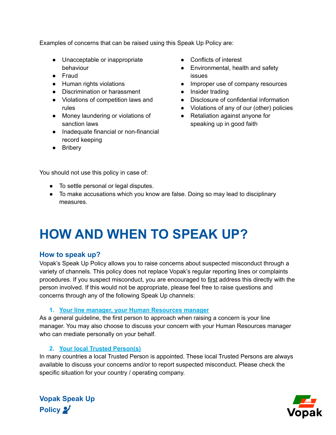Examples of concerns that can be raised using this Speak Up Policy are:

- Unacceptable or inappropriate behaviour
- Fraud
- Human rights violations
- Discrimination or harassment
- Violations of competition laws and rules
- Money laundering or violations of sanction laws
- Inadequate financial or non-financial record keeping
- Bribery
- Conflicts of interest
- Environmental, health and safety issues
- Improper use of company resources
- Insider trading
- Disclosure of confidential information
- Violations of any of our (other) policies
- Retaliation against anyone for speaking up in good faith

You should not use this policy in case of:

- To settle personal or legal disputes.
- To make accusations which you know are false. Doing so may lead to disciplinary measures.

# <span id="page-5-0"></span>**HOW AND WHEN TO SPEAK UP?**

#### <span id="page-5-1"></span>**How to speak up?**

Vopak's Speak Up Policy allows you to raise concerns about suspected misconduct through a variety of channels. This policy does not replace Vopak's regular reporting lines or complaints procedures. If you suspect misconduct, you are encouraged to first address this directly with the person involved. If this would not be appropriate, please feel free to raise questions and concerns through any of the following Speak Up channels:

#### **1. Your line manager, your Human Resources manager**

<span id="page-5-2"></span>As a general guideline, the first person to approach when raising a concern is your line manager. You may also choose to discuss your concern with your Human Resources manager who can mediate personally on your behalf.

#### **2. Your local Trusted Person(s)**

In many countries a local Trusted Person is appointed. These local Trusted Persons are always available to discuss your concerns and/or to report suspected misconduct. Please check the specific situation for your country / operating company.



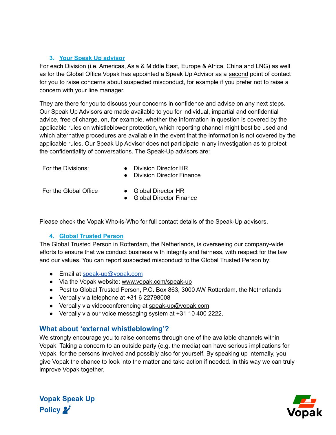#### <span id="page-6-0"></span>**3. Your Speak Up advisor**

For each Division (i.e. Americas, Asia & Middle East, Europe & Africa, China and LNG) as well as for the Global Office Vopak has appointed a Speak Up Advisor as a second point of contact for you to raise concerns about suspected misconduct, for example if you prefer not to raise a concern with your line manager.

They are there for you to discuss your concerns in confidence and advise on any next steps. Our Speak Up Advisors are made available to you for individual, impartial and confidential advice, free of charge, on, for example, whether the information in question is covered by the applicable rules on whistleblower protection, which reporting channel might best be used and which alternative procedures are available in the event that the information is not covered by the applicable rules. Our Speak Up Advisor does not participate in any investigation as to protect the confidentiality of conversations. The Speak-Up advisors are:

- For the Divisions: **•** Division Director HR
	- Division Director Finance

- For the Global Office Global Director HR
	- Global Director Finance

Please check the Vopak Who-is-Who for full contact details of the Speak-Up advisors.

#### **4. Global Trusted Person**

<span id="page-6-1"></span>The Global Trusted Person in Rotterdam, the Netherlands, is overseeing our company-wide efforts to ensure that we conduct business with integrity and fairness, with respect for the law and our values. You can report suspected misconduct to the Global Trusted Person by:

- Email at [speak-up@vopak.com](mailto:whistleblower@vopak.com)
- Via the Vopak website: www.vopak.com/speak-up
- Post to Global Trusted Person, P.O. Box 863, 3000 AW Rotterdam, the Netherlands
- Verbally via telephone at +31 6 22798008
- Verbally via videoconferencing at speak-up@vopak.com
- Verbally via our voice messaging system at +31 10 400 2222.

#### <span id="page-6-2"></span>**What about 'external whistleblowing'?**

We strongly encourage you to raise concerns through one of the available channels within Vopak. Taking a concern to an outside party (e.g. the media) can have serious implications for Vopak, for the persons involved and possibly also for yourself. By speaking up internally, you give Vopak the chance to look into the matter and take action if needed. In this way we can truly improve Vopak together.



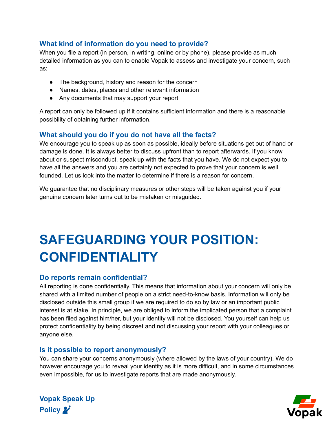## <span id="page-7-0"></span>**What kind of information do you need to provide?**

When you file a report (in person, in writing, online or by phone), please provide as much detailed information as you can to enable Vopak to assess and investigate your concern, such as:

- The background, history and reason for the concern
- Names, dates, places and other relevant information
- Any documents that may support your report

A report can only be followed up if it contains sufficient information and there is a reasonable possibility of obtaining further information.

#### <span id="page-7-1"></span>**What should you do if you do not have all the facts?**

We encourage you to speak up as soon as possible, ideally before situations get out of hand or damage is done. It is always better to discuss upfront than to report afterwards. If you know about or suspect misconduct, speak up with the facts that you have. We do not expect you to have all the answers and you are certainly not expected to prove that your concern is well founded. Let us look into the matter to determine if there is a reason for concern.

<span id="page-7-2"></span>We guarantee that no disciplinary measures or other steps will be taken against you if your genuine concern later turns out to be mistaken or misguided.

# **SAFEGUARDING YOUR POSITION: CONFIDENTIALITY**

#### <span id="page-7-3"></span>**Do reports remain confidential?**

All reporting is done confidentially. This means that information about your concern will only be shared with a limited number of people on a strict need-to-know basis. Information will only be disclosed outside this small group if we are required to do so by law or an important public interest is at stake. In principle, we are obliged to inform the implicated person that a complaint has been filed against him/her, but your identity will not be disclosed. You yourself can help us protect confidentiality by being discreet and not discussing your report with your colleagues or anyone else.

#### <span id="page-7-4"></span>**Is it possible to report anonymously?**

You can share your concerns anonymously (where allowed by the laws of your country). We do however encourage you to reveal your identity as it is more difficult, and in some circumstances even impossible, for us to investigate reports that are made anonymously.

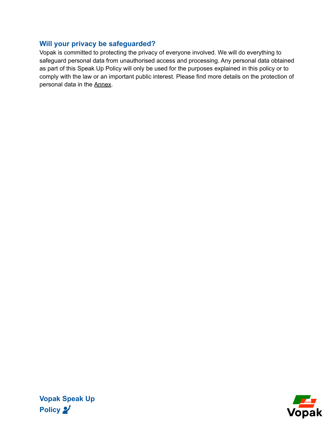## <span id="page-8-0"></span>**Will your privacy be safeguarded?**

<span id="page-8-1"></span>Vopak is committed to protecting the privacy of everyone involved. We will do everything to safeguard personal data from unauthorised access and processing. Any personal data obtained as part of this Speak Up Policy will only be used for the purposes explained in this policy or to comply with the law or an important public interest. Please find more details on the protection of personal data in the Annex.

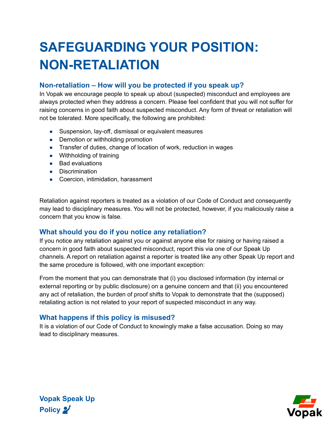# **SAFEGUARDING YOUR POSITION: NON-RETALIATION**

## <span id="page-9-0"></span>**Non-retaliation – How will you be protected if you speak up?**

In Vopak we encourage people to speak up about (suspected) misconduct and employees are always protected when they address a concern. Please feel confident that you will not suffer for raising concerns in good faith about suspected misconduct. Any form of threat or retaliation will not be tolerated. More specifically, the following are prohibited:

- Suspension, lay-off, dismissal or equivalent measures
- Demotion or withholding promotion
- Transfer of duties, change of location of work, reduction in wages
- Withholding of training
- Bad evaluations
- Discrimination
- Coercion, intimidation, harassment

Retaliation against reporters is treated as a violation of our Code of Conduct and consequently may lead to disciplinary measures. You will not be protected, however, if you maliciously raise a concern that you know is false.

## <span id="page-9-1"></span>**What should you do if you notice any retaliation?**

If you notice any retaliation against you or against anyone else for raising or having raised a concern in good faith about suspected misconduct, report this via one of our Speak Up channels. A report on retaliation against a reporter is treated like any other Speak Up report and the same procedure is followed, with one important exception:

From the moment that you can demonstrate that (i) you disclosed information (by internal or external reporting or by public disclosure) on a genuine concern and that (ii) you encountered any act of retaliation, the burden of proof shifts to Vopak to demonstrate that the (supposed) retaliating action is not related to your report of suspected misconduct in any way.

## <span id="page-9-2"></span>**What happens if this policy is misused?**

It is a violation of our Code of Conduct to knowingly make a false accusation. Doing so may lead to disciplinary measures.

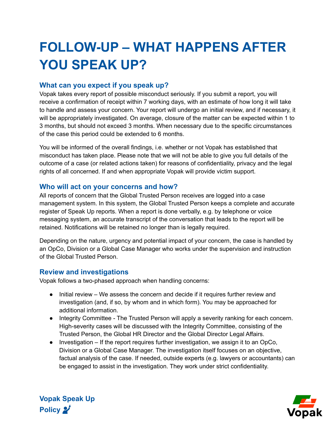# <span id="page-10-0"></span>**FOLLOW-UP – WHAT HAPPENS AFTER YOU SPEAK UP?**

## <span id="page-10-1"></span>**What can you expect if you speak up?**

Vopak takes every report of possible misconduct seriously. If you submit a report, you will receive a confirmation of receipt within 7 working days, with an estimate of how long it will take to handle and assess your concern. Your report will undergo an initial review, and if necessary, it will be appropriately investigated. On average, closure of the matter can be expected within 1 to 3 months, but should not exceed 3 months. When necessary due to the specific circumstances of the case this period could be extended to 6 months.

You will be informed of the overall findings, i.e. whether or not Vopak has established that misconduct has taken place. Please note that we will not be able to give you full details of the outcome of a case (or related actions taken) for reasons of confidentiality, privacy and the legal rights of all concerned. If and when appropriate Vopak will provide victim support.

#### <span id="page-10-2"></span>**Who will act on your concerns and how?**

All reports of concern that the Global Trusted Person receives are logged into a case management system. In this system, the Global Trusted Person keeps a complete and accurate register of Speak Up reports. When a report is done verbally, e.g. by telephone or voice messaging system, an accurate transcript of the conversation that leads to the report will be retained. Notifications will be retained no longer than is legally required.

Depending on the nature, urgency and potential impact of your concern, the case is handled by an OpCo, Division or a Global Case Manager who works under the supervision and instruction of the Global Trusted Person.

#### <span id="page-10-3"></span>**Review and investigations**

**Vopak Speak Up**

Policy 2

Vopak follows a two-phased approach when handling concerns:

- Initial review We assess the concern and decide if it requires further review and investigation (and, if so, by whom and in which form). You may be approached for additional information.
- Integrity Committee The Trusted Person will apply a severity ranking for each concern. High-severity cases will be discussed with the Integrity Committee, consisting of the Trusted Person, the Global HR Director and the Global Director Legal Affairs.
- $\bullet$  Investigation If the report requires further investigation, we assign it to an OpCo, Division or a Global Case Manager. The investigation itself focuses on an objective, factual analysis of the case. If needed, outside experts (e.g. lawyers or accountants) can be engaged to assist in the investigation. They work under strict confidentiality.

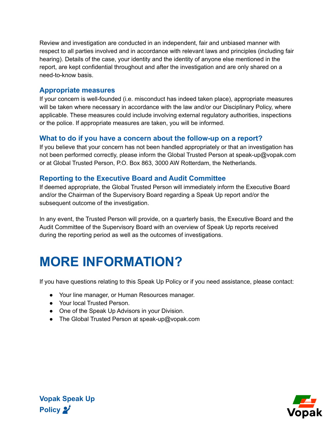Review and investigation are conducted in an independent, fair and unbiased manner with respect to all parties involved and in accordance with relevant laws and principles (including fair hearing). Details of the case, your identity and the identity of anyone else mentioned in the report, are kept confidential throughout and after the investigation and are only shared on a need-to-know basis.

#### <span id="page-11-0"></span>**Appropriate measures**

If your concern is well-founded (i.e. misconduct has indeed taken place), appropriate measures will be taken where necessary in accordance with the law and/or our Disciplinary Policy, where applicable. These measures could include involving external regulatory authorities, inspections or the police. If appropriate measures are taken, you will be informed.

#### <span id="page-11-1"></span>**What to do if you have a concern about the follow-up on a report?**

If you believe that your concern has not been handled appropriately or that an investigation has not been performed correctly, please inform the Global Trusted Person at speak-up@vopak.com or at Global Trusted Person, P.O. Box 863, 3000 AW Rotterdam, the Netherlands.

#### <span id="page-11-2"></span>**Reporting to the Executive Board and Audit Committee**

If deemed appropriate, the Global Trusted Person will immediately inform the Executive Board and/or the Chairman of the Supervisory Board regarding a Speak Up report and/or the subsequent outcome of the investigation.

In any event, the Trusted Person will provide, on a quarterly basis, the Executive Board and the Audit Committee of the Supervisory Board with an overview of Speak Up reports received during the reporting period as well as the outcomes of investigations.

# <span id="page-11-3"></span>**MORE INFORMATION?**

If you have questions relating to this Speak Up Policy or if you need assistance, please contact:

- Your line manager, or Human Resources manager.
- Your local Trusted Person.
- One of the Speak Up Advisors in your Division.
- The Global Trusted Person at speak-up@vopak.com



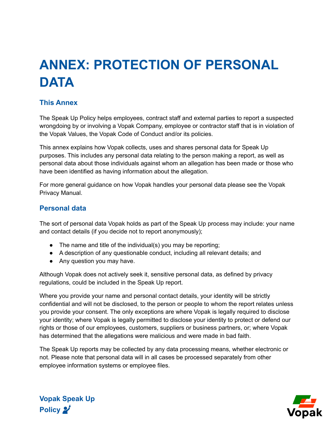# <span id="page-12-0"></span>**ANNEX: PROTECTION OF PERSONAL DATA**

## <span id="page-12-1"></span>**This Annex**

The Speak Up Policy helps employees, contract staff and external parties to report a suspected wrongdoing by or involving a Vopak Company, employee or contractor staff that is in violation of the Vopak Values, the Vopak Code of Conduct and/or its policies.

This annex explains how Vopak collects, uses and shares personal data for Speak Up purposes. This includes any personal data relating to the person making a report, as well as personal data about those individuals against whom an allegation has been made or those who have been identified as having information about the allegation.

For more general guidance on how Vopak handles your personal data please see the Vopak Privacy Manual.

#### <span id="page-12-2"></span>**Personal data**

The sort of personal data Vopak holds as part of the Speak Up process may include: your name and contact details (if you decide not to report anonymously);

- The name and title of the individual(s) you may be reporting;
- A description of any questionable conduct, including all relevant details; and
- Any question you may have.

Although Vopak does not actively seek it, sensitive personal data, as defined by privacy regulations, could be included in the Speak Up report.

Where you provide your name and personal contact details, your identity will be strictly confidential and will not be disclosed, to the person or people to whom the report relates unless you provide your consent. The only exceptions are where Vopak is legally required to disclose your identity; where Vopak is legally permitted to disclose your identity to protect or defend our rights or those of our employees, customers, suppliers or business partners, or; where Vopak has determined that the allegations were malicious and were made in bad faith.

The Speak Up reports may be collected by any data processing means, whether electronic or not. Please note that personal data will in all cases be processed separately from other employee information systems or employee files.



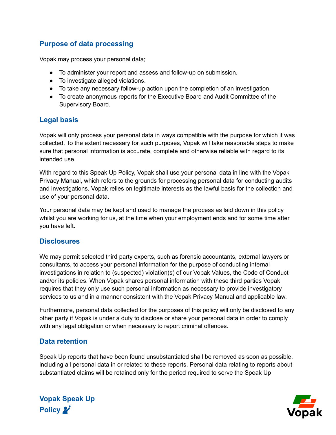## <span id="page-13-0"></span>**Purpose of data processing**

Vopak may process your personal data;

- To administer your report and assess and follow-up on submission.
- To investigate alleged violations.
- To take any necessary follow-up action upon the completion of an investigation.
- To create anonymous reports for the Executive Board and Audit Committee of the Supervisory Board.

## <span id="page-13-1"></span>**Legal basis**

Vopak will only process your personal data in ways compatible with the purpose for which it was collected. To the extent necessary for such purposes, Vopak will take reasonable steps to make sure that personal information is accurate, complete and otherwise reliable with regard to its intended use.

With regard to this Speak Up Policy, Vopak shall use your personal data in line with the Vopak Privacy Manual, which refers to the grounds for processing personal data for conducting audits and investigations. Vopak relies on legitimate interests as the lawful basis for the collection and use of your personal data.

Your personal data may be kept and used to manage the process as laid down in this policy whilst you are working for us, at the time when your employment ends and for some time after you have left.

#### <span id="page-13-2"></span>**Disclosures**

We may permit selected third party experts, such as forensic accountants, external lawyers or consultants, to access your personal information for the purpose of conducting internal investigations in relation to (suspected) violation(s) of our Vopak Values, the Code of Conduct and/or its policies. When Vopak shares personal information with these third parties Vopak requires that they only use such personal information as necessary to provide investigatory services to us and in a manner consistent with the Vopak Privacy Manual and applicable law.

Furthermore, personal data collected for the purposes of this policy will only be disclosed to any other party if Vopak is under a duty to disclose or share your personal data in order to comply with any legal obligation or when necessary to report criminal offences.

## <span id="page-13-3"></span>**Data retention**

**Vopak Speak Up**

Policy 2

Speak Up reports that have been found unsubstantiated shall be removed as soon as possible, including all personal data in or related to these reports. Personal data relating to reports about substantiated claims will be retained only for the period required to serve the Speak Up

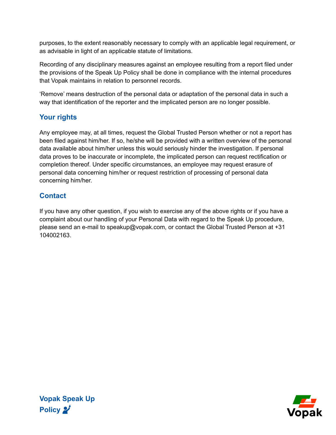purposes, to the extent reasonably necessary to comply with an applicable legal requirement, or as advisable in light of an applicable statute of limitations.

Recording of any disciplinary measures against an employee resulting from a report filed under the provisions of the Speak Up Policy shall be done in compliance with the internal procedures that Vopak maintains in relation to personnel records.

'Remove' means destruction of the personal data or adaptation of the personal data in such a way that identification of the reporter and the implicated person are no longer possible.

# <span id="page-14-0"></span>**Your rights**

Any employee may, at all times, request the Global Trusted Person whether or not a report has been filed against him/her. If so, he/she will be provided with a written overview of the personal data available about him/her unless this would seriously hinder the investigation. If personal data proves to be inaccurate or incomplete, the implicated person can request rectification or completion thereof. Under specific circumstances, an employee may request erasure of personal data concerning him/her or request restriction of processing of personal data concerning him/her.

# <span id="page-14-1"></span>**Contact**

If you have any other question, if you wish to exercise any of the above rights or if you have a complaint about our handling of your Personal Data with regard to the Speak Up procedure, please send an e-mail to speakup@vopak.com, or contact the Global Trusted Person at +31 104002163.